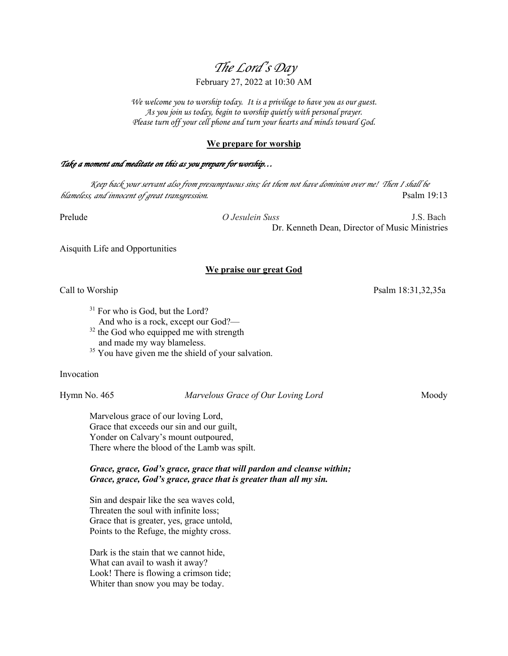# *The Lord's Day*

## February 27, 2022 at 10:30 AM

*We welcome you to worship today. It is a privilege to have you as our guest. As you join us today, begin to worship quietly with personal prayer. Please turn off your cell phone and turn your hearts and minds toward God.*

#### **We prepare for worship**

#### *Take a moment and meditate on this as you prepare for worship…*

*Keep back your servant also from presumptuous sins; let them not have dominion over me! Then I shall be blameless, and innocent of great transgression.* Psalm 19:13

Prelude *O Jesulein Suss* J.S. Bach Dr. Kenneth Dean, Director of Music Ministries

Aisquith Life and Opportunities

#### **We praise our great God**

Call to Worship Psalm 18:31,32,35a

- <sup>31</sup> For who is God, but the Lord?
	- And who is a rock, except our God?—
- $32$  the God who equipped me with strength and made my way blameless.
- <sup>35</sup> You have given me the shield of your salvation.

Invocation

Hymn No. 465 *Marvelous Grace of Our Loving Lord* Moody

Marvelous grace of our loving Lord, Grace that exceeds our sin and our guilt, Yonder on Calvary's mount outpoured, There where the blood of the Lamb was spilt.

*Grace, grace, God's grace, grace that will pardon and cleanse within; Grace, grace, God's grace, grace that is greater than all my sin.*

Sin and despair like the sea waves cold, Threaten the soul with infinite loss; Grace that is greater, yes, grace untold, Points to the Refuge, the mighty cross.

Dark is the stain that we cannot hide, What can avail to wash it away? Look! There is flowing a crimson tide; Whiter than snow you may be today.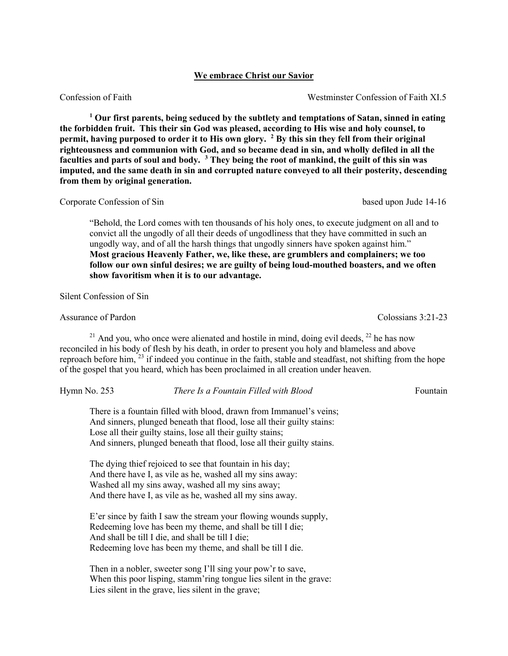### **We embrace Christ our Savior**

Confession of Faith Westminster Confession of Faith XI.5

**<sup>1</sup> Our first parents, being seduced by the subtlety and temptations of Satan, sinned in eating the forbidden fruit. This their sin God was pleased, according to His wise and holy counsel, to permit, having purposed to order it to His own glory. <sup>2</sup> By this sin they fell from their original righteousness and communion with God, and so became dead in sin, and wholly defiled in all the faculties and parts of soul and body. <sup>3</sup> They being the root of mankind, the guilt of this sin was imputed, and the same death in sin and corrupted nature conveyed to all their posterity, descending from them by original generation.**

Corporate Confession of Sin based upon Jude 14-16

"Behold, the Lord comes with ten thousands of his holy ones, to execute judgment on all and to convict all the ungodly of all their deeds of ungodliness that they have committed in such an ungodly way, and of all the harsh things that ungodly sinners have spoken against him." **Most gracious Heavenly Father, we, like these, are grumblers and complainers; we too follow our own sinful desires; we are guilty of being loud-mouthed boasters, and we often show favoritism when it is to our advantage.**

Silent Confession of Sin

Assurance of Pardon **Colossians 3:21-23** Colossians 3:21-23

 $21$  And you, who once were alienated and hostile in mind, doing evil deeds,  $22$  he has now reconciled in his body of flesh by his death, in order to present you holy and blameless and above reproach before him, <sup>23</sup> if indeed you continue in the faith, stable and steadfast, not shifting from the hope of the gospel that you heard, which has been proclaimed in all creation under heaven.

#### Hymn No. 253 *There Is a Fountain Filled with Blood* Fountain

There is a fountain filled with blood, drawn from Immanuel's veins; And sinners, plunged beneath that flood, lose all their guilty stains: Lose all their guilty stains, lose all their guilty stains; And sinners, plunged beneath that flood, lose all their guilty stains.

The dying thief rejoiced to see that fountain in his day; And there have I, as vile as he, washed all my sins away: Washed all my sins away, washed all my sins away; And there have I, as vile as he, washed all my sins away.

E'er since by faith I saw the stream your flowing wounds supply, Redeeming love has been my theme, and shall be till I die; And shall be till I die, and shall be till I die; Redeeming love has been my theme, and shall be till I die.

Then in a nobler, sweeter song I'll sing your pow'r to save, When this poor lisping, stamm'ring tongue lies silent in the grave: Lies silent in the grave, lies silent in the grave;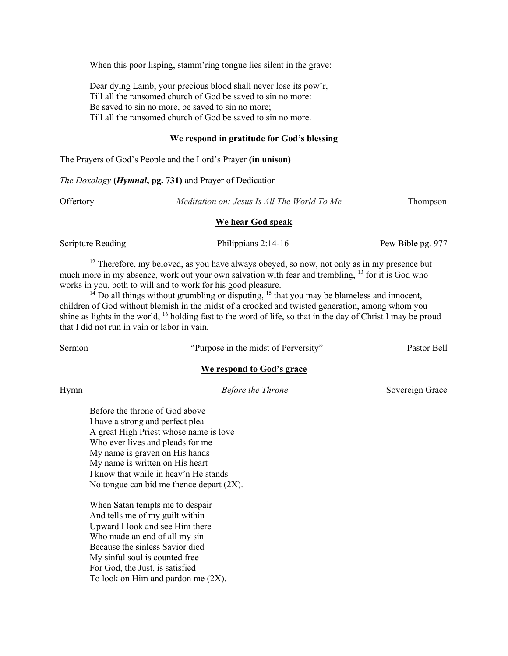When this poor lisping, stamm'ring tongue lies silent in the grave:

Dear dying Lamb, your precious blood shall never lose its pow'r, Till all the ransomed church of God be saved to sin no more: Be saved to sin no more, be saved to sin no more; Till all the ransomed church of God be saved to sin no more.

#### **We respond in gratitude for God's blessing**

The Prayers of God's People and the Lord's Prayer **(in unison)**

*The Doxology* **(***Hymnal***, pg. 731)** and Prayer of Dedication

Offertory *Meditation on: Jesus Is All The World To Me* Thompson

#### **We hear God speak**

Scripture Reading **Philippians 2:14-16** Pew Bible pg. 977

 $12$  Therefore, my beloved, as you have always obeyed, so now, not only as in my presence but much more in my absence, work out your own salvation with fear and trembling, <sup>13</sup> for it is God who works in you, both to will and to work for his good pleasure.

 $14$  Do all things without grumbling or disputing,  $15$  that you may be blameless and innocent, children of God without blemish in the midst of a crooked and twisted generation, among whom you shine as lights in the world, 16 holding fast to the word of life, so that in the day of Christ I may be proud that I did not run in vain or labor in vain.

Sermon "Purpose in the midst of Perversity" Pastor Bell

#### **We respond to God's grace**

Hymn **Before the Throne** Sovereign Grace *Before the Throne* Sovereign Grace

Before the throne of God above I have a strong and perfect plea A great High Priest whose name is love Who ever lives and pleads for me My name is graven on His hands My name is written on His heart I know that while in heav'n He stands No tongue can bid me thence depart (2X).

When Satan tempts me to despair And tells me of my guilt within Upward I look and see Him there Who made an end of all my sin Because the sinless Savior died My sinful soul is counted free For God, the Just, is satisfied To look on Him and pardon me (2X).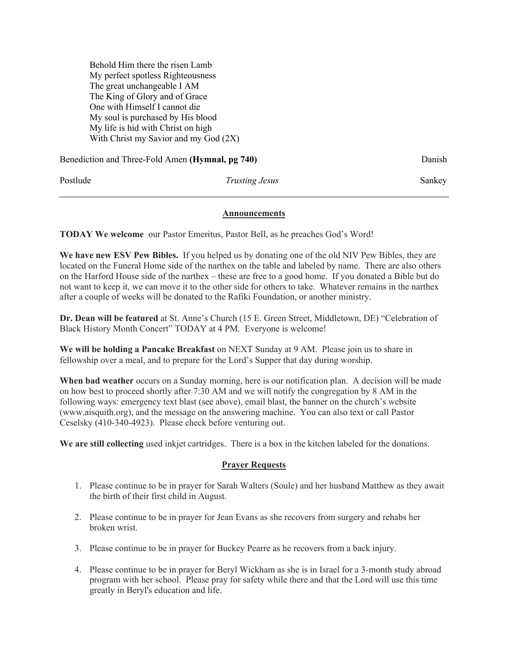Behold Him there the risen Lamb My perfect spotless Righteousness The great unchangeable I AM The King of Glory and of Grace One with Himself I cannot die My soul is purchased by His blood My life is hid with Christ on high With Christ my Savior and my God (2X)

| Benediction and Three-Fold Amen (Hymnal, pg 740) |                       | Danish |
|--------------------------------------------------|-----------------------|--------|
| Postlude                                         | <i>Trusting Jesus</i> | Sankey |

#### **Announcements**

**TODAY We welcome** our Pastor Emeritus, Pastor Bell, as he preaches God's Word!

**We have new ESV Pew Bibles.** If you helped us by donating one of the old NIV Pew Bibles, they are located on the Funeral Home side of the narthex on the table and labeled by name. There are also others on the Harford House side of the narthex – these are free to a good home. If you donated a Bible but do not want to keep it, we can move it to the other side for others to take. Whatever remains in the narthex after a couple of weeks will be donated to the Rafiki Foundation, or another ministry.

**Dr. Dean will be featured** at St. Anne's Church (15 E. Green Street, Middletown, DE) "Celebration of Black History Month Concert" TODAY at 4 PM. Everyone is welcome!

**We will be holding a Pancake Breakfast** on NEXT Sunday at 9 AM. Please join us to share in fellowship over a meal, and to prepare for the Lord's Supper that day during worship.

**When bad weather** occurs on a Sunday morning, here is our notification plan. A decision will be made on how best to proceed shortly after 7:30 AM and we will notify the congregation by 8 AM in the following ways: emergency text blast (see above), email blast, the banner on the church's website (www.aisquith.org), and the message on the answering machine. You can also text or call Pastor Ceselsky (410-340-4923). Please check before venturing out.

**We are still collecting** used inkjet cartridges. There is a box in the kitchen labeled for the donations.

#### **Prayer Requests**

- 1. Please continue to be in prayer for Sarah Walters (Soule) and her husband Matthew as they await the birth of their first child in August.
- 2. Please continue to be in prayer for Jean Evans as she recovers from surgery and rehabs her broken wrist.
- 3. Please continue to be in prayer for Buckey Pearre as he recovers from a back injury.
- 4. Please continue to be in prayer for Beryl Wickham as she is in Israel for a 3-month study abroad program with her school. Please pray for safety while there and that the Lord will use this time greatly in Beryl's education and life.